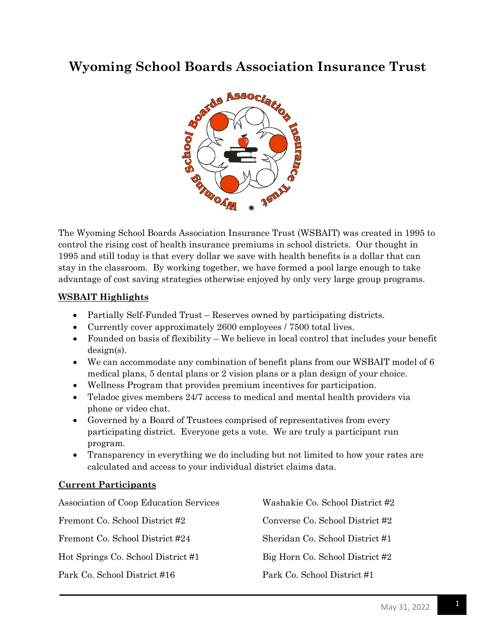## **Wyoming School Boards Association Insurance Trust**



The Wyoming School Boards Association Insurance Trust (WSBAIT) was created in 1995 to control the rising cost of health insurance premiums in school districts. Our thought in 1995 and still today is that every dollar we save with health benefits is a dollar that can stay in the classroom. By working together, we have formed a pool large enough to take advantage of cost saving strategies otherwise enjoyed by only very large group programs.

## **WSBAIT Highlights**

- Partially Self-Funded Trust Reserves owned by participating districts.
- Currently cover approximately 2600 employees / 7500 total lives.
- Founded on basis of flexibility We believe in local control that includes your benefit design(s).
- We can accommodate any combination of benefit plans from our WSBAIT model of 6 medical plans, 5 dental plans or 2 vision plans or a plan design of your choice.
- Wellness Program that provides premium incentives for participation.
- Teladoc gives members 24/7 access to medical and mental health providers via phone or video chat.
- Governed by a Board of Trustees comprised of representatives from every participating district. Everyone gets a vote. We are truly a participant run program.
- Transparency in everything we do including but not limited to how your rates are calculated and access to your individual district claims data.

## **Current Participants**

| Association of Coop Education Services | Washakie Co. School District #2 |
|----------------------------------------|---------------------------------|
| Fremont Co. School District #2         | Converse Co. School District #2 |
| Fremont Co. School District #24        | Sheridan Co. School District #1 |
| Hot Springs Co. School District #1     | Big Horn Co. School District #2 |
| Park Co. School District #16           | Park Co. School District #1     |